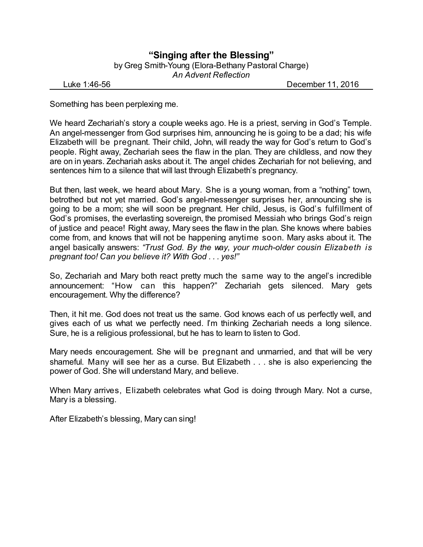## **"Singing after the Blessing"** by Greg Smith-Young (Elora-Bethany Pastoral Charge) *An Advent Reflection*

Luke 1:46-56 December 11, 2016

Something has been perplexing me.

We heard Zechariah's story a couple weeks ago. He is a priest, serving in God's Temple. An angel-messenger from God surprises him, announcing he is going to be a dad; his wife Elizabeth will be pregnant. Their child, John, will ready the way for God's return to God's people. Right away, Zechariah sees the flaw in the plan. They are childless, and now they are on in years. Zechariah asks about it. The angel chides Zechariah for not believing, and sentences him to a silence that will last through Elizabeth's pregnancy.

But then, last week, we heard about Mary. She is a young woman, from a "nothing" town, betrothed but not yet married. God's angel-messenger surprises her, announcing she is going to be a mom; she will soon be pregnant. Her child, Jesus, is God's fulfillment of God's promises, the everlasting sovereign, the promised Messiah who brings God's reign of justice and peace! Right away, Mary sees the flaw in the plan. She knows where babies come from, and knows that will not be happening anytime soon. Mary asks about it. The angel basically answers: *"Trust God. By the way, your much-older cousin Elizabeth is pregnant too! Can you believe it? With God . . . yes!"*

So, Zechariah and Mary both react pretty much the same way to the angel's incredible announcement: "How can this happen?" Zechariah gets silenced. Mary gets encouragement. Why the difference?

Then, it hit me. God does not treat us the same. God knows each of us perfectly well, and gives each of us what we perfectly need. I'm thinking Zechariah needs a long silence. Sure, he is a religious professional, but he has to learn to listen to God.

Mary needs encouragement. She will be pregnant and unmarried, and that will be very shameful. Many will see her as a curse. But Elizabeth . . . she is also experiencing the power of God. She will understand Mary, and believe.

When Mary arrives, Elizabeth celebrates what God is doing through Mary. Not a curse, Mary is a blessing.

After Elizabeth's blessing, Mary can sing!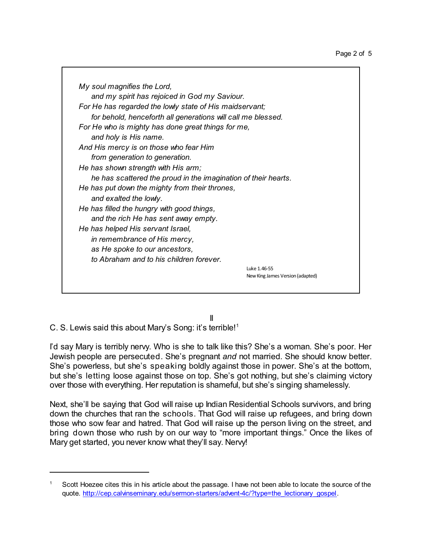| My soul magnifies the Lord,                                    |                                  |
|----------------------------------------------------------------|----------------------------------|
| and my spirit has rejoiced in God my Saviour.                  |                                  |
| For He has regarded the lowly state of His maidservant;        |                                  |
| for behold, henceforth all generations will call me blessed.   |                                  |
| For He who is mighty has done great things for me,             |                                  |
| and holy is His name.                                          |                                  |
| And His mercy is on those who fear Him                         |                                  |
| from generation to generation.                                 |                                  |
| He has shown strength with His arm;                            |                                  |
| he has scattered the proud in the imagination of their hearts. |                                  |
| He has put down the mighty from their thrones,                 |                                  |
| and exalted the lowly.                                         |                                  |
| He has filled the hungry with good things,                     |                                  |
| and the rich He has sent away empty.                           |                                  |
| He has helped His servant Israel,                              |                                  |
| in remembrance of His mercy,                                   |                                  |
| as He spoke to our ancestors,                                  |                                  |
| to Abraham and to his children forever.                        |                                  |
|                                                                | Luke 1.46-55                     |
|                                                                | New King James Version (adapted) |
|                                                                |                                  |

II

C. S. Lewis said this about Mary's Song: it's terrible!<sup>1</sup>

I'd say Mary is terribly nervy. Who is she to talk like this? She's a woman. She's poor. Her Jewish people are persecuted. She's pregnant *and* not married. She should know better. She's powerless, but she's speaking boldly against those in power. She's at the bottom, but she's letting loose against those on top. She's got nothing, but she's claiming victory over those with everything. Her reputation is shameful, but she's singing shamelessly.

Next, she'll be saying that God will raise up Indian Residential Schools survivors, and bring down the churches that ran the schools. That God will raise up refugees, and bring down those who sow fear and hatred. That God will raise up the person living on the street, and bring down those who rush by on our way to "more important things." Once the likes of Mary get started, you never know what they'll say. Nervy!

<sup>1</sup> Scott Hoezee cites this in his article about the passage. I have not been able to locate the source of the quote. [http://cep.calvinseminary.edu/sermon-starters/advent-4c/?type=the\\_lectionary\\_gospel](http://cep.calvinseminary.edu/sermon-starters/advent-4c/?type=the_lectionary_gospel).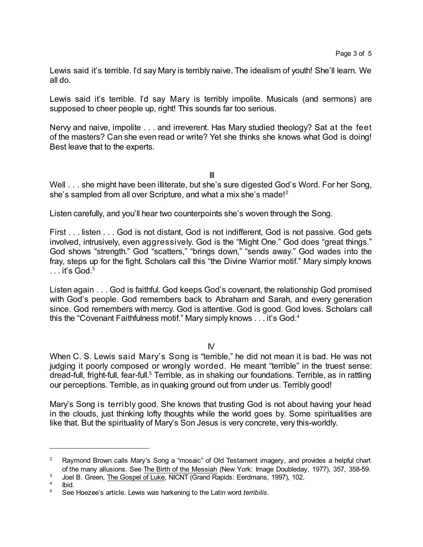Lewis said it's terrible. I'd say Mary is terribly naive. The idealism of youth! She'll learn. We all do.

Lewis said it's terrible. I'd say Mary is terribly impolite. Musicals (and sermons) are supposed to cheer people up, right! This sounds far too serious.

Nervy and naive, impolite . . . and irreverent. Has Mary studied theology? Sat at the feet of the masters? Can she even read or write? Yet she thinks she knows what God is doing! Best leave that to the experts.

III

Well . . . she might have been illiterate, but she's sure digested God's Word. For her Song, she's sampled from all over Scripture, and what a mix she's made!<sup>2</sup>

Listen carefully, and you'll hear two counterpoints she's woven through the Song.

First . . . listen . . . God is not distant, God is not indifferent, God is not passive. God gets involved, intrusively, even aggressively. God is the "Might One." God does "great things." God shows "strength." God "scatters," "brings down," "sends away." God wades into the fray, steps up for the fight. Scholars call this "the Divine Warrior motif." Mary simply knows  $\ldots$  it's God.<sup>3</sup>

Listen again . . . God is faithful. God keeps God's covenant, the relationship God promised with God's people. God remembers back to Abraham and Sarah, and every generation since. God remembers with mercy. God is attentive. God is good. God loves. Scholars call this the "Covenant Faithfulness motif." Mary simply knows . . . it's God.<sup>4</sup>

IV

When C. S. Lewis said Mary's Song is "terrible," he did not mean it is bad. He was not judging it poorly composed or wrongly worded. He meant "terrible" in the truest sense: dread-full, fright-full, fear-full.<sup>5</sup> Terrible, as in shaking our foundations. Terrible, as in rattling our perceptions. Terrible, as in quaking ground out from under us. Terribly good!

Mary's Song is terribly good. She knows that trusting God is not about having your head in the clouds, just thinking lofty thoughts while the world goes by. Some spiritualities are like that. But the spirituality of Mary's Son Jesus is very concrete, very this-worldly.

<sup>3</sup> Joel B. Green, The Gospel of Luke, NICNT (Grand Rapids: Eerdmans, 1997), 102.

<sup>&</sup>lt;sup>2</sup> Raymond Brown calls Mary's Song a "mosaic" of Old Testament imagery, and provides a helpful chart of the many allusions. See The Birth of the Messiah (New York: Image Doubleday, 1977), 357, 358-59.

<sup>4</sup> Ibid.

<sup>5</sup> See Hoezee's article. Lewis was harkening to the Latin word *terribilis*.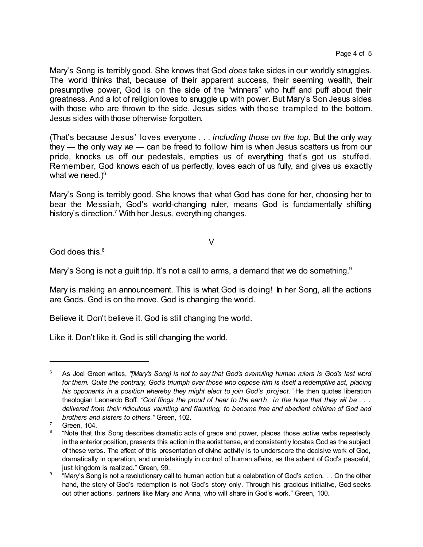Mary's Song is terribly good. She knows that God *does* take sides in our worldly struggles. The world thinks that, because of their apparent success, their seeming wealth, their presumptive power, God is on the side of the "winners" who huff and puff about their greatness. And a lot of religion loves to snuggle up with power. But Mary's Son Jesus sides with those who are thrown to the side. Jesus sides with those trampled to the bottom. Jesus sides with those otherwise forgotten.

(That's because Jesus' loves everyone . . . *including those on the top*. But the only way they — the only way *we* — can be freed to follow him is when Jesus scatters us from our pride, knocks us off our pedestals, empties us of everything that's got us stuffed. Remember, God knows each of us perfectly, loves each of us fully, and gives us exactly what we need.) $^{\rm 6}$ 

Mary's Song is terribly good. She knows that what God has done for her, choosing her to bear the Messiah, God's world-changing ruler, means God is fundamentally shifting history's direction.<sup>7</sup> With her Jesus, everything changes.

V

God does this. $8$ 

Mary's Song is not a guilt trip. It's not a call to arms, a demand that we do something.<sup>9</sup>

Mary is making an announcement. This is what God is doing! In her Song, all the actions are Gods. God is on the move. God is changing the world.

Believe it. Don't believe it. God is still changing the world.

Like it. Don't like it. God is still changing the world.

<sup>6</sup> As Joel Green writes, *"[Mary's Song] is not to say that God's overruling human rulers is God's last word* for them. Quite the contrary, God's triumph over those who oppose him is itself a redemptive act, placing *his opponents in a position whereby they might elect to join God's project."* He then quotes liberation theologian Leonardo Boff: "God flings the proud of hear to the earth, in the hope that they wil be... *delivered from their ridiculous vaunting and flaunting, to become free and obedient children of God and brothers and sisters to others."* Green, 102.

Green, 104.

<sup>8</sup> "Note that this Song describes dramatic acts of grace and power, places those active verbs repeatedly in the anterior position, presents this action in the aorist tense, andconsistently locates God as the subject of these verbs. The effect of this presentation of divine activity is to underscore the decisive work of God, dramatically in operation, and unmistakingly in control of human affairs, as the advent of God's peaceful, just kingdom is realized." Green, 99.

<sup>9</sup> "Mary's Song is not a revolutionary call to human action but a celebration of God's action. . . On the other hand, the story of God's redemption is not God's story only. Through his gracious initiative, God seeks out other actions, partners like Mary and Anna, who will share in God's work." Green, 100.